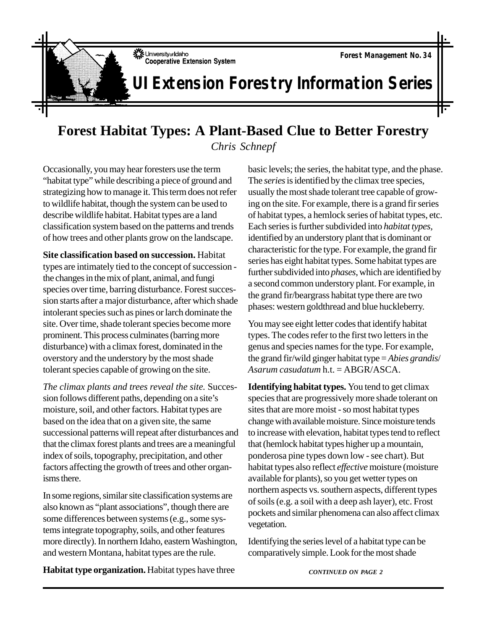

## **UI Extension Forestry Information Series**

## **Forest Habitat Types: A Plant-Based Clue to Better Forestry**

*Chris Schnepf*

Occasionally, you may hear foresters use the term "habitat type" while describing a piece of ground and strategizing how to manage it. This term does not refer to wildlife habitat, though the system can be used to describe wildlife habitat. Habitat types are a land classification system based on the patterns and trends of how trees and other plants grow on the landscape.

**Site classification based on succession.** Habitat types are intimately tied to the concept of succession the changes in the mix of plant, animal, and fungi species over time, barring disturbance. Forest succession starts after a major disturbance, after which shade intolerant species such as pines or larch dominate the site. Over time, shade tolerant species become more prominent. This process culminates (barring more disturbance) with a climax forest, dominated in the overstory and the understory by the most shade tolerant species capable of growing on the site.

*The climax plants and trees reveal the site.* Succession follows different paths, depending on a site's moisture, soil, and other factors. Habitat types are based on the idea that on a given site, the same successional patterns will repeat after disturbances and that the climax forest plants and trees are a meaningful index of soils, topography, precipitation, and other factors affecting the growth of trees and other organisms there.

In some regions, similar site classification systems are also known as "plant associations", though there are some differences between systems (e.g., some systems integrate topography, soils, and other features more directly). In northern Idaho, eastern Washington, and western Montana, habitat types are the rule.

**Habitat type organization.** Habitat types have three

basic levels; the series, the habitat type, and the phase. The *series* is identified by the climax tree species, usually the most shade tolerant tree capable of growing on the site. For example, there is a grand fir series of habitat types, a hemlock series of habitat types, etc. Each series is further subdivided into *habitat types,* identified by an understory plant that is dominant or characteristic for the type. For example, the grand fir series has eight habitat types. Some habitat types are further subdivided into *phases*, which are identified by a second common understory plant. For example, in the grand fir/beargrass habitat type there are two phases: western goldthread and blue huckleberry.

You may see eight letter codes that identify habitat types. The codes refer to the first two letters in the genus and species names for the type. For example, the grand fir/wild ginger habitat type = *Abies grandis*/ *Asarum casudatum* h.t. = ABGR/ASCA.

**Identifying habitat types.** You tend to get climax species that are progressively more shade tolerant on sites that are more moist - so most habitat types change with available moisture. Since moisture tends to increase with elevation, habitat types tend to reflect that (hemlock habitat types higher up a mountain, ponderosa pine types down low - see chart). But habitat types also reflect *effective* moisture (moisture available for plants), so you get wetter types on northern aspects vs. southern aspects, different types of soils (e.g. a soil with a deep ash layer), etc. Frost pockets and similar phenomena can also affect climax vegetation.

Identifying the series level of a habitat type can be comparatively simple. Look for the most shade

*CONTINUED ON PAGE 2*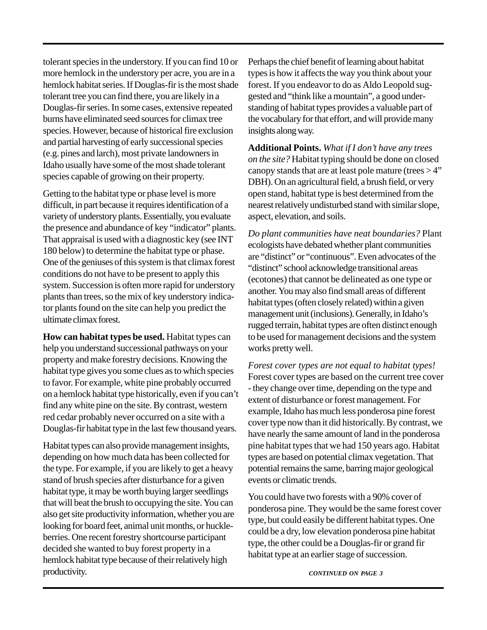tolerant species in the understory. If you can find 10 or more hemlock in the understory per acre, you are in a hemlock habitat series. If Douglas-fir is the most shade tolerant tree you can find there, you are likely in a Douglas-fir series. In some cases, extensive repeated burns have eliminated seed sources for climax tree species. However, because of historical fire exclusion and partial harvesting of early successional species (e.g. pines and larch), most private landowners in Idaho usually have some of the most shade tolerant species capable of growing on their property.

Getting to the habitat type or phase level is more difficult, in part because it requires identification of a variety of understory plants. Essentially, you evaluate the presence and abundance of key "indicator" plants. That appraisal is used with a diagnostic key (see INT 180 below) to determine the habitat type or phase. One of the geniuses of this system is that climax forest conditions do not have to be present to apply this system. Succession is often more rapid for understory plants than trees, so the mix of key understory indicator plants found on the site can help you predict the ultimate climax forest.

**How can habitat types be used.** Habitat types can help you understand successional pathways on your property and make forestry decisions. Knowing the habitat type gives you some clues as to which species to favor. For example, white pine probably occurred on a hemlock habitat type historically, even if you can't find any white pine on the site. By contrast, western red cedar probably never occurred on a site with a Douglas-fir habitat type in the last few thousand years.

Habitat types can also provide management insights, depending on how much data has been collected for the type. For example, if you are likely to get a heavy stand of brush species after disturbance for a given habitat type, it may be worth buying larger seedlings that will beat the brush to occupying the site. You can also get site productivity information, whether you are looking for board feet, animal unit months, or huckleberries. One recent forestry shortcourse participant decided she wanted to buy forest property in a hemlock habitat type because of their relatively high productivity.

Perhaps the chief benefit of learning about habitat types is how it affects the way you think about your forest. If you endeavor to do as Aldo Leopold suggested and "think like a mountain", a good understanding of habitat types provides a valuable part of the vocabulary for that effort, and will provide many insights along way.

**Additional Points.** *What if I don't have any trees on the site?* Habitat typing should be done on closed canopy stands that are at least pole mature (trees  $>4$ " DBH). On an agricultural field, a brush field, or very open stand, habitat type is best determined from the nearest relatively undisturbed stand with similar slope, aspect, elevation, and soils.

*Do plant communities have neat boundaries?* Plant ecologists have debated whether plant communities are "distinct" or "continuous". Even advocates of the "distinct" school acknowledge transitional areas (ecotones) that cannot be delineated as one type or another. You may also find small areas of different habitat types (often closely related) within a given management unit (inclusions). Generally, in Idaho's rugged terrain, habitat types are often distinct enough to be used for management decisions and the system works pretty well.

*Forest cover types are not equal to habitat types!* Forest cover types are based on the current tree cover - they change over time, depending on the type and extent of disturbance or forest management. For example, Idaho has much less ponderosa pine forest cover type now than it did historically. By contrast, we have nearly the same amount of land in the ponderosa pine habitat types that we had 150 years ago. Habitat types are based on potential climax vegetation. That potential remains the same, barring major geological events or climatic trends.

You could have two forests with a 90% cover of ponderosa pine. They would be the same forest cover type, but could easily be different habitat types. One could be a dry, low elevation ponderosa pine habitat type, the other could be a Douglas-fir or grand fir habitat type at an earlier stage of succession.

*CONTINUED ON PAGE 3*